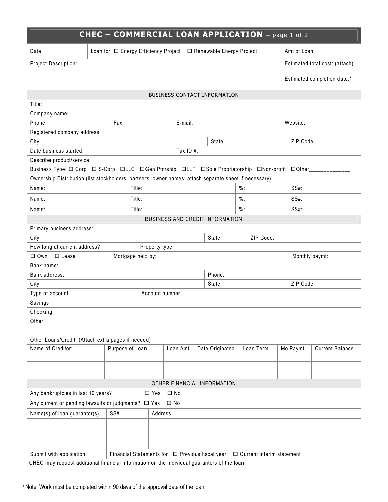| Date:                                                                                                                                                                                                        |      |                 |              | Loan for $\Box$ Energy Efficiency Project $\Box$ Renewable Energy Project |           | Amt of Loan: |                                |
|--------------------------------------------------------------------------------------------------------------------------------------------------------------------------------------------------------------|------|-----------------|--------------|---------------------------------------------------------------------------|-----------|--------------|--------------------------------|
| Project Description:                                                                                                                                                                                         |      |                 |              |                                                                           |           |              | Estimated total cost: (attach) |
|                                                                                                                                                                                                              |      |                 |              |                                                                           |           |              | Estimated completion date:*    |
|                                                                                                                                                                                                              |      |                 |              |                                                                           |           |              |                                |
|                                                                                                                                                                                                              |      |                 |              | <b>BUSINESS CONTACT INFORMATION</b>                                       |           |              |                                |
| Title:                                                                                                                                                                                                       |      |                 |              |                                                                           |           |              |                                |
| Company name:                                                                                                                                                                                                |      |                 |              |                                                                           |           |              |                                |
| Phone:                                                                                                                                                                                                       | Fax: |                 | E-mail:      |                                                                           |           | Website:     |                                |
| Registered company address:                                                                                                                                                                                  |      |                 |              |                                                                           |           |              |                                |
| City:                                                                                                                                                                                                        |      |                 |              | State:                                                                    |           | ZIP Code:    |                                |
| Date business started:                                                                                                                                                                                       |      |                 | Tax ID $#$ : |                                                                           |           |              |                                |
| Describe product/service:                                                                                                                                                                                    |      |                 |              |                                                                           |           |              |                                |
| Business Type: □ Corp □ S-Corp □LLC □ Gen Ptnrship □LLP □ Sole Proprietorship □ Non-profit □ Other_<br>Ownership Distribution (list stockholders, partners, owner names: attach separate sheet if necessary) |      |                 |              |                                                                           |           |              |                                |
| Name:                                                                                                                                                                                                        |      | Title:          |              |                                                                           | $\%$ :    | SS#:         |                                |
| Name:                                                                                                                                                                                                        |      | Title:          |              |                                                                           | $\%$ :    | $SS#$ :      |                                |
| Name:                                                                                                                                                                                                        |      | Title:          |              |                                                                           | $\%$ :    | $SS#$ :      |                                |
|                                                                                                                                                                                                              |      |                 |              |                                                                           |           |              |                                |
|                                                                                                                                                                                                              |      |                 |              | <b>BUSINESS AND CREDIT INFORMATION</b>                                    |           |              |                                |
| Primary business address:                                                                                                                                                                                    |      |                 |              | State:                                                                    | ZIP Code: |              |                                |
| City:<br>How long at current address?                                                                                                                                                                        |      |                 |              |                                                                           |           |              |                                |
| Property type:<br>□ Own □ Lease<br>Mortgage held by:                                                                                                                                                         |      |                 |              | Monthly paymt:                                                            |           |              |                                |
| Bank name:                                                                                                                                                                                                   |      |                 |              |                                                                           |           |              |                                |
| Bank address:                                                                                                                                                                                                |      |                 |              |                                                                           |           |              |                                |
|                                                                                                                                                                                                              |      |                 |              |                                                                           |           |              |                                |
|                                                                                                                                                                                                              |      |                 |              | Phone:<br>State:                                                          |           | ZIP Code:    |                                |
|                                                                                                                                                                                                              |      | Account number  |              |                                                                           |           |              |                                |
|                                                                                                                                                                                                              |      |                 |              |                                                                           |           |              |                                |
| City:<br>Type of account<br>Savings                                                                                                                                                                          |      |                 |              |                                                                           |           |              |                                |
| Checking<br>Other                                                                                                                                                                                            |      |                 |              |                                                                           |           |              |                                |
|                                                                                                                                                                                                              |      |                 |              |                                                                           |           |              |                                |
|                                                                                                                                                                                                              |      |                 |              |                                                                           |           |              |                                |
|                                                                                                                                                                                                              |      | Purpose of Loan | Loan Amt     | Date Originated                                                           | Loan Term | Mo Paymt     | <b>Current Balance</b>         |
|                                                                                                                                                                                                              |      |                 |              |                                                                           |           |              |                                |
|                                                                                                                                                                                                              |      |                 |              |                                                                           |           |              |                                |
|                                                                                                                                                                                                              |      |                 |              |                                                                           |           |              |                                |
|                                                                                                                                                                                                              |      |                 |              | OTHER FINANCIAL INFORMATION                                               |           |              |                                |
|                                                                                                                                                                                                              |      | $\square$ Yes   | $\square$ No |                                                                           |           |              |                                |
|                                                                                                                                                                                                              |      |                 | $\square$ No |                                                                           |           |              |                                |
| Other Loans/Credit (Attach extra pages if needed)<br>Name of Creditor:<br>Any bankruptcies in last 10 years?<br>Any current or pending lawsuits or judgments? □ Yes<br>Name(s) of loan guarantor(s)          | SS#  | Address         |              |                                                                           |           |              |                                |
|                                                                                                                                                                                                              |      |                 |              |                                                                           |           |              |                                |
|                                                                                                                                                                                                              |      |                 |              |                                                                           |           |              |                                |
|                                                                                                                                                                                                              |      |                 |              |                                                                           |           |              |                                |

\* Note: Work must be completed within 90 days of the approval date of the loan.